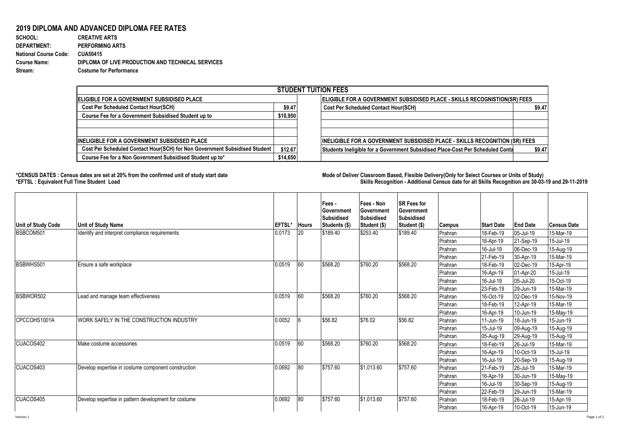## **2019 DIPLOMA AND ADVANCED DIPLOMA FEE RATES**<br>SCHOOL: CREATIVE ARTS

**SCHOOL: CREATIVE ARTS** 1156 1 0.000865052 **DEPARTMENT: PERFORMING ARTS National Course Code: CUA50415 Course Name: DIPLOMA OF LIVE PRODUCTION AND TECHNICAL SERVICES Stream: Costume for Performance**

| <b>STUDENT TUITION FEES</b>                                                |          |                                                                                          |  |  |  |  |  |  |
|----------------------------------------------------------------------------|----------|------------------------------------------------------------------------------------------|--|--|--|--|--|--|
| <b>IELIGIBLE FOR A GOVERNMENT SUBSIDISED PLACE</b>                         |          | <b>IELIGIBLE FOR A GOVERNMENT SUBSIDISED PLACE - SKILLS RECOGNISTION(SR) FEES</b>        |  |  |  |  |  |  |
| <b>Cost Per Scheduled Contact Hour(SCH)</b>                                | \$9.47   | <b>Cost Per Scheduled Contact Hour(SCH)</b><br>\$9.47                                    |  |  |  |  |  |  |
| Course Fee for a Government Subsidised Student up to                       | \$10,950 |                                                                                          |  |  |  |  |  |  |
|                                                                            |          |                                                                                          |  |  |  |  |  |  |
|                                                                            |          |                                                                                          |  |  |  |  |  |  |
| <b>INELIGIBLE FOR A GOVERNMENT SUBSIDISED PLACE</b>                        |          | INELIGIBLE FOR A GOVERNMENT SUBSIDISED PLACE - SKILLS RECOGNITION (SR) FEES              |  |  |  |  |  |  |
| Cost Per Scheduled Contact Hour(SCH) for Non Government Subsidised Student | \$12.67  | Students Ineligible for a Government Subsidised Place-Cost Per Scheduled Conta<br>\$9.47 |  |  |  |  |  |  |
| Course Fee for a Non Government Subsidised Student up to*                  | \$14,650 |                                                                                          |  |  |  |  |  |  |

**\*CENSUS DATES : Census dates are set at 20% from the confirmed unit of study start date Mode of Delivery:Classroom Based, Flexible Delivery(Only for Select Courses or Units of Study) \*EFTSL : Equivalent Full Time Student Load Skills Recognition - Additional Census date for all Skills Recognition are 30-03-19 and 29-11-2019** 

| <b>Unit of Study Code</b> | <b>Unit of Study Name</b>                            | <b>EFTSL*</b> | <b>Hours</b> | Fees -<br>Government<br><b>Subsidised</b><br>Students (\$) | Fees - Non<br>Government<br><b>Subsidised</b><br>Student (\$) | <b>SR Fees for</b><br>Government<br><b>Subsidised</b><br>Student (\$) | <b>Campus</b> | <b>Start Date</b> | <b>End Date</b> | <b>Census Date</b> |
|---------------------------|------------------------------------------------------|---------------|--------------|------------------------------------------------------------|---------------------------------------------------------------|-----------------------------------------------------------------------|---------------|-------------------|-----------------|--------------------|
| BSBCOM501                 | Identify and interpret compliance requirements       | 0.0173        | 20           | \$189.40                                                   | \$253.40                                                      | \$189.40                                                              | Prahran       | 18-Feb-19         | 05-Jul-19       | 15-Mar-19          |
|                           |                                                      |               |              |                                                            |                                                               |                                                                       | Prahran       | 16-Apr-19         | 21-Sep-19       | 15-Jul-19          |
|                           |                                                      |               |              |                                                            |                                                               |                                                                       | Prahran       | 16-Jul-19         | 06-Dec-19       | 15-Aug-19          |
|                           |                                                      |               |              |                                                            |                                                               |                                                                       | Prahran       | 21-Feb-19         | 30-Apr-19       | 15-Mar-19          |
| BSBWHS501                 | Ensure a safe workplace                              | 0.0519        | 60           | \$568.20                                                   | \$760.20                                                      | \$568.20                                                              | Prahran       | 18-Feb-19         | 02-Dec-19       | 15-Apr-19          |
|                           |                                                      |               |              |                                                            |                                                               |                                                                       | Prahran       | 16-Apr-19         | 01-Apr-20       | 15-Jul-19          |
|                           |                                                      |               |              |                                                            |                                                               |                                                                       | Prahran       | 16-Jul-19         | 05-Jul-20       | 15-Oct-19          |
|                           |                                                      |               |              |                                                            |                                                               |                                                                       | Prahran       | 23-Feb-19         | 29-Jun-19       | 15-Mar-19          |
| BSBWOR502                 | Lead and manage team effectiveness                   | 0.0519        | 60           | \$568.20                                                   | \$760.20                                                      | \$568.20                                                              | Prahran       | 16-Oct-19         | 02-Dec-19       | 15-Nov-19          |
|                           |                                                      |               |              |                                                            |                                                               |                                                                       | Prahran       | 18-Feb-19         | 12-Apr-19       | 15-Mar-19          |
|                           |                                                      |               |              |                                                            |                                                               |                                                                       | Prahran       | 16-Apr-19         | 10-Jun-19       | 15-May-19          |
| CPCCOHS1001A              | WORK SAFELY IN THE CONSTRUCTION INDUSTRY             | 0.0052        |              | \$56.82                                                    | \$76.02                                                       | \$56.82                                                               | Prahran       | 11-Jun-19         | 18-Jun-19       | 15-Jun-19          |
|                           |                                                      |               |              |                                                            |                                                               |                                                                       | Prahran       | 15-Jul-19         | 09-Aug-19       | 15-Aug-19          |
|                           |                                                      |               |              |                                                            |                                                               |                                                                       | Prahran       | 05-Aug-19         | 29-Aug-19       | 15-Aug-19          |
| CUACOS402                 | Make costume accessories                             | 0.0519        | 60           | \$568.20                                                   | \$760.20                                                      | \$568.20                                                              | Prahran       | 18-Feb-19         | 26-Jul-19       | 15-Mar-19          |
|                           |                                                      |               |              |                                                            |                                                               |                                                                       | Prahran       | 16-Apr-19         | 10-Oct-19       | 15-Jul-19          |
|                           |                                                      |               |              |                                                            |                                                               |                                                                       | Prahran       | 16-Jul-19         | 20-Sep-19       | 15-Aug-19          |
| CUACOS403                 | Develop expertise in costume component construction  | 0.0692        | 80           | $\sqrt{5757.60}$                                           | \$1,013.60                                                    | \$757.60                                                              | Prahran       | 21-Feb-19         | 26-Jul-19       | 15-Mar-19          |
|                           |                                                      |               |              |                                                            |                                                               |                                                                       | Prahran       | 16-Apr-19         | 30-Jun-19       | 15-May-19          |
|                           |                                                      |               |              |                                                            |                                                               |                                                                       | Prahran       | 16-Jul-19         | 30-Sep-19       | 15-Aug-19          |
|                           |                                                      |               |              |                                                            |                                                               |                                                                       | Prahran       | 22-Feb-19         | 29-Jun-19       | 15-Mar-19          |
| CUACOS405                 | Develop expertise in pattern development for costume | 0.0692        | 80           | \$757.60                                                   | \$1,013.60                                                    | \$757.60                                                              | Prahran       | 18-Feb-19         | 26-Jul-19       | 15-Apr-19          |
|                           |                                                      |               |              |                                                            |                                                               |                                                                       | Prahran       | 16-Apr-19         | 10-Oct-19       | 15-Jun-19          |